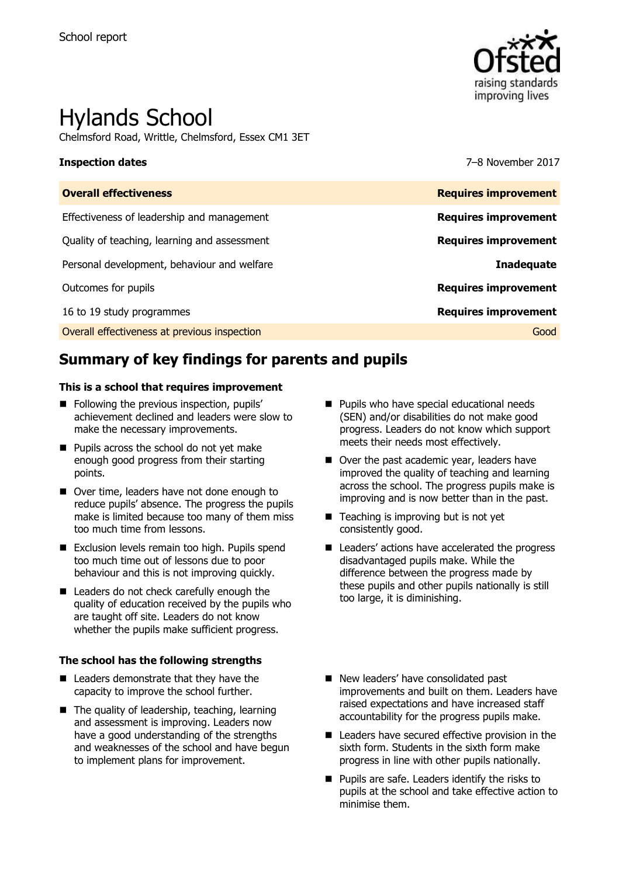

# Hylands School

Chelmsford Road, Writtle, Chelmsford, Essex CM1 3ET

**Inspection dates** 7–8 November 2017

| <b>Overall effectiveness</b>                 | <b>Requires improvement</b> |
|----------------------------------------------|-----------------------------|
| Effectiveness of leadership and management   | <b>Requires improvement</b> |
| Quality of teaching, learning and assessment | <b>Requires improvement</b> |
| Personal development, behaviour and welfare  | <b>Inadequate</b>           |
| Outcomes for pupils                          | <b>Requires improvement</b> |
| 16 to 19 study programmes                    | <b>Requires improvement</b> |
| Overall effectiveness at previous inspection | Good                        |

# **Summary of key findings for parents and pupils**

#### **This is a school that requires improvement**

- Following the previous inspection, pupils' achievement declined and leaders were slow to make the necessary improvements.
- **Pupils across the school do not yet make** enough good progress from their starting points.
- Over time, leaders have not done enough to reduce pupils' absence. The progress the pupils make is limited because too many of them miss too much time from lessons.
- Exclusion levels remain too high. Pupils spend too much time out of lessons due to poor behaviour and this is not improving quickly.
- Leaders do not check carefully enough the quality of education received by the pupils who are taught off site. Leaders do not know whether the pupils make sufficient progress.

#### **The school has the following strengths**

- Leaders demonstrate that they have the capacity to improve the school further.
- The quality of leadership, teaching, learning and assessment is improving. Leaders now have a good understanding of the strengths and weaknesses of the school and have begun to implement plans for improvement.
- **Pupils who have special educational needs** (SEN) and/or disabilities do not make good progress. Leaders do not know which support meets their needs most effectively.
- Over the past academic year, leaders have improved the quality of teaching and learning across the school. The progress pupils make is improving and is now better than in the past.
- $\blacksquare$  Teaching is improving but is not yet consistently good.
- Leaders' actions have accelerated the progress disadvantaged pupils make. While the difference between the progress made by these pupils and other pupils nationally is still too large, it is diminishing.
- New leaders' have consolidated past improvements and built on them. Leaders have raised expectations and have increased staff accountability for the progress pupils make.
- Leaders have secured effective provision in the sixth form. Students in the sixth form make progress in line with other pupils nationally.
- **Pupils are safe. Leaders identify the risks to** pupils at the school and take effective action to minimise them.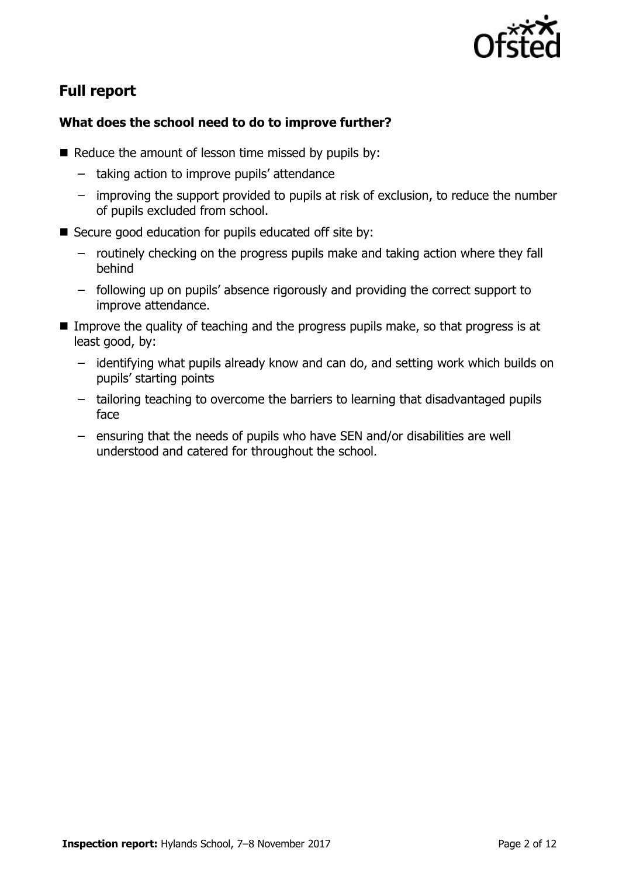

# **Full report**

### **What does the school need to do to improve further?**

- $\blacksquare$  Reduce the amount of lesson time missed by pupils by:
	- taking action to improve pupils' attendance
	- improving the support provided to pupils at risk of exclusion, to reduce the number of pupils excluded from school.
- Secure good education for pupils educated off site by:
	- routinely checking on the progress pupils make and taking action where they fall behind
	- following up on pupils' absence rigorously and providing the correct support to improve attendance.
- Improve the quality of teaching and the progress pupils make, so that progress is at least good, by:
	- identifying what pupils already know and can do, and setting work which builds on pupils' starting points
	- tailoring teaching to overcome the barriers to learning that disadvantaged pupils face
	- ensuring that the needs of pupils who have SEN and/or disabilities are well understood and catered for throughout the school.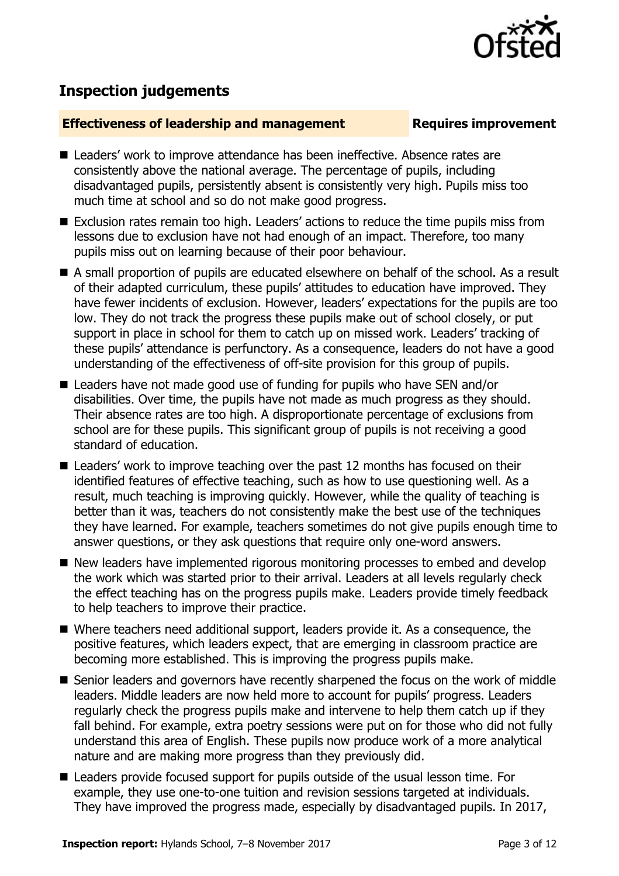

# **Inspection judgements**

### **Effectiveness of leadership and management Requires improvement**

- Leaders' work to improve attendance has been ineffective. Absence rates are consistently above the national average. The percentage of pupils, including disadvantaged pupils, persistently absent is consistently very high. Pupils miss too much time at school and so do not make good progress.
- Exclusion rates remain too high. Leaders' actions to reduce the time pupils miss from lessons due to exclusion have not had enough of an impact. Therefore, too many pupils miss out on learning because of their poor behaviour.
- A small proportion of pupils are educated elsewhere on behalf of the school. As a result of their adapted curriculum, these pupils' attitudes to education have improved. They have fewer incidents of exclusion. However, leaders' expectations for the pupils are too low. They do not track the progress these pupils make out of school closely, or put support in place in school for them to catch up on missed work. Leaders' tracking of these pupils' attendance is perfunctory. As a consequence, leaders do not have a good understanding of the effectiveness of off-site provision for this group of pupils.
- Leaders have not made good use of funding for pupils who have SEN and/or disabilities. Over time, the pupils have not made as much progress as they should. Their absence rates are too high. A disproportionate percentage of exclusions from school are for these pupils. This significant group of pupils is not receiving a good standard of education.
- Leaders' work to improve teaching over the past 12 months has focused on their identified features of effective teaching, such as how to use questioning well. As a result, much teaching is improving quickly. However, while the quality of teaching is better than it was, teachers do not consistently make the best use of the techniques they have learned. For example, teachers sometimes do not give pupils enough time to answer questions, or they ask questions that require only one-word answers.
- New leaders have implemented rigorous monitoring processes to embed and develop the work which was started prior to their arrival. Leaders at all levels regularly check the effect teaching has on the progress pupils make. Leaders provide timely feedback to help teachers to improve their practice.
- Where teachers need additional support, leaders provide it. As a consequence, the positive features, which leaders expect, that are emerging in classroom practice are becoming more established. This is improving the progress pupils make.
- Senior leaders and governors have recently sharpened the focus on the work of middle leaders. Middle leaders are now held more to account for pupils' progress. Leaders regularly check the progress pupils make and intervene to help them catch up if they fall behind. For example, extra poetry sessions were put on for those who did not fully understand this area of English. These pupils now produce work of a more analytical nature and are making more progress than they previously did.
- Leaders provide focused support for pupils outside of the usual lesson time. For example, they use one-to-one tuition and revision sessions targeted at individuals. They have improved the progress made, especially by disadvantaged pupils. In 2017,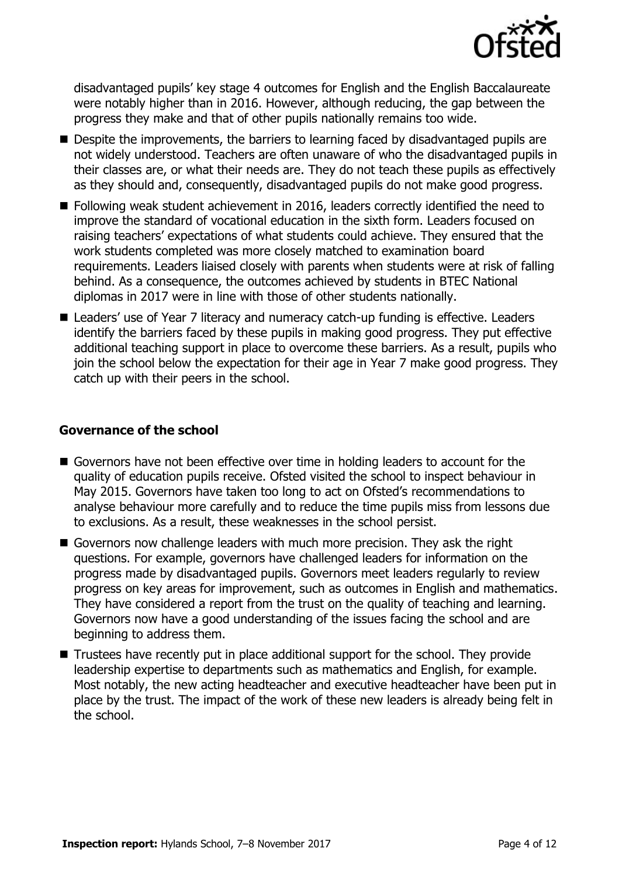

disadvantaged pupils' key stage 4 outcomes for English and the English Baccalaureate were notably higher than in 2016. However, although reducing, the gap between the progress they make and that of other pupils nationally remains too wide.

- Despite the improvements, the barriers to learning faced by disadvantaged pupils are not widely understood. Teachers are often unaware of who the disadvantaged pupils in their classes are, or what their needs are. They do not teach these pupils as effectively as they should and, consequently, disadvantaged pupils do not make good progress.
- Following weak student achievement in 2016, leaders correctly identified the need to improve the standard of vocational education in the sixth form. Leaders focused on raising teachers' expectations of what students could achieve. They ensured that the work students completed was more closely matched to examination board requirements. Leaders liaised closely with parents when students were at risk of falling behind. As a consequence, the outcomes achieved by students in BTEC National diplomas in 2017 were in line with those of other students nationally.
- Leaders' use of Year 7 literacy and numeracy catch-up funding is effective. Leaders identify the barriers faced by these pupils in making good progress. They put effective additional teaching support in place to overcome these barriers. As a result, pupils who join the school below the expectation for their age in Year 7 make good progress. They catch up with their peers in the school.

### **Governance of the school**

- Governors have not been effective over time in holding leaders to account for the quality of education pupils receive. Ofsted visited the school to inspect behaviour in May 2015. Governors have taken too long to act on Ofsted's recommendations to analyse behaviour more carefully and to reduce the time pupils miss from lessons due to exclusions. As a result, these weaknesses in the school persist.
- Governors now challenge leaders with much more precision. They ask the right questions. For example, governors have challenged leaders for information on the progress made by disadvantaged pupils. Governors meet leaders regularly to review progress on key areas for improvement, such as outcomes in English and mathematics. They have considered a report from the trust on the quality of teaching and learning. Governors now have a good understanding of the issues facing the school and are beginning to address them.
- Trustees have recently put in place additional support for the school. They provide leadership expertise to departments such as mathematics and English, for example. Most notably, the new acting headteacher and executive headteacher have been put in place by the trust. The impact of the work of these new leaders is already being felt in the school.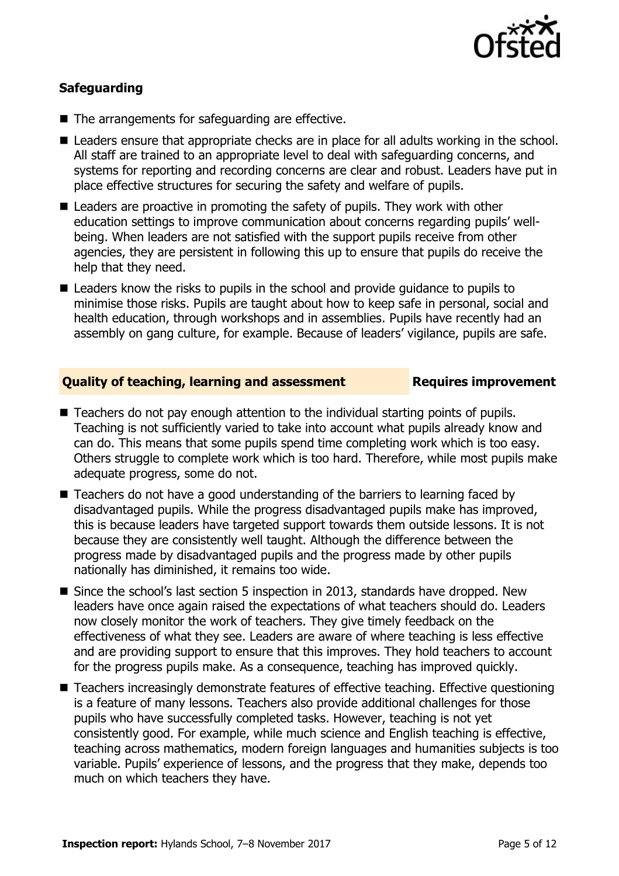

### **Safeguarding**

- The arrangements for safeguarding are effective.
- Leaders ensure that appropriate checks are in place for all adults working in the school. All staff are trained to an appropriate level to deal with safeguarding concerns, and systems for reporting and recording concerns are clear and robust. Leaders have put in place effective structures for securing the safety and welfare of pupils.
- Leaders are proactive in promoting the safety of pupils. They work with other education settings to improve communication about concerns regarding pupils' wellbeing. When leaders are not satisfied with the support pupils receive from other agencies, they are persistent in following this up to ensure that pupils do receive the help that they need.
- Leaders know the risks to pupils in the school and provide quidance to pupils to minimise those risks. Pupils are taught about how to keep safe in personal, social and health education, through workshops and in assemblies. Pupils have recently had an assembly on gang culture, for example. Because of leaders' vigilance, pupils are safe.

#### **Quality of teaching, learning and assessment France Requires improvement**

- Teachers do not pay enough attention to the individual starting points of pupils. Teaching is not sufficiently varied to take into account what pupils already know and can do. This means that some pupils spend time completing work which is too easy. Others struggle to complete work which is too hard. Therefore, while most pupils make adequate progress, some do not.
- Teachers do not have a good understanding of the barriers to learning faced by disadvantaged pupils. While the progress disadvantaged pupils make has improved, this is because leaders have targeted support towards them outside lessons. It is not because they are consistently well taught. Although the difference between the progress made by disadvantaged pupils and the progress made by other pupils nationally has diminished, it remains too wide.
- Since the school's last section 5 inspection in 2013, standards have dropped. New leaders have once again raised the expectations of what teachers should do. Leaders now closely monitor the work of teachers. They give timely feedback on the effectiveness of what they see. Leaders are aware of where teaching is less effective and are providing support to ensure that this improves. They hold teachers to account for the progress pupils make. As a consequence, teaching has improved quickly.
- Teachers increasingly demonstrate features of effective teaching. Effective questioning is a feature of many lessons. Teachers also provide additional challenges for those pupils who have successfully completed tasks. However, teaching is not yet consistently good. For example, while much science and English teaching is effective, teaching across mathematics, modern foreign languages and humanities subjects is too variable. Pupils' experience of lessons, and the progress that they make, depends too much on which teachers they have.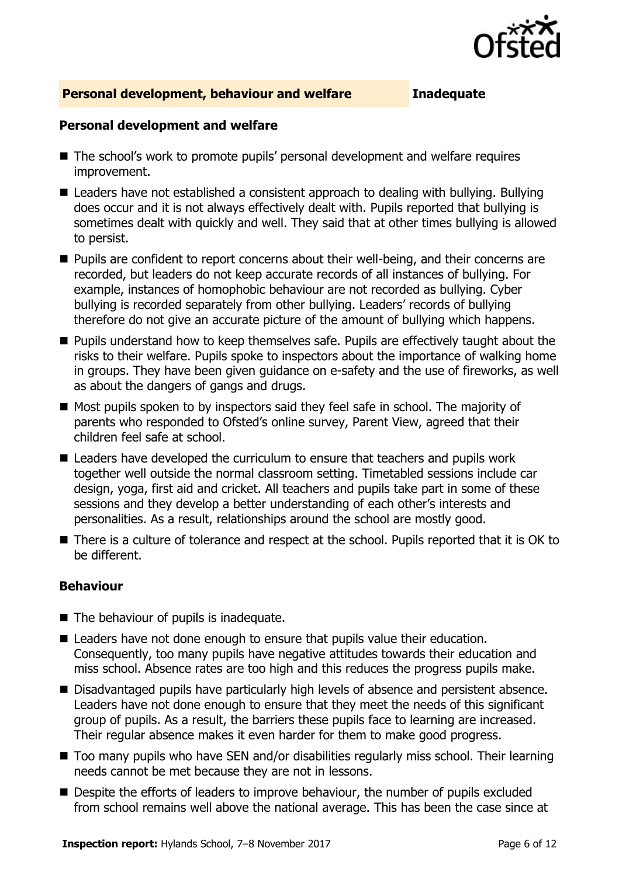

### **Personal development, behaviour and welfare Inadequate**

#### **Personal development and welfare**

- The school's work to promote pupils' personal development and welfare requires improvement.
- Leaders have not established a consistent approach to dealing with bullying. Bullying does occur and it is not always effectively dealt with. Pupils reported that bullying is sometimes dealt with quickly and well. They said that at other times bullying is allowed to persist.
- **Pupils are confident to report concerns about their well-being, and their concerns are** recorded, but leaders do not keep accurate records of all instances of bullying. For example, instances of homophobic behaviour are not recorded as bullying. Cyber bullying is recorded separately from other bullying. Leaders' records of bullying therefore do not give an accurate picture of the amount of bullying which happens.
- **Pupils understand how to keep themselves safe. Pupils are effectively taught about the** risks to their welfare. Pupils spoke to inspectors about the importance of walking home in groups. They have been given guidance on e-safety and the use of fireworks, as well as about the dangers of gangs and drugs.
- Most pupils spoken to by inspectors said they feel safe in school. The majority of parents who responded to Ofsted's online survey, Parent View, agreed that their children feel safe at school.
- Leaders have developed the curriculum to ensure that teachers and pupils work together well outside the normal classroom setting. Timetabled sessions include car design, yoga, first aid and cricket. All teachers and pupils take part in some of these sessions and they develop a better understanding of each other's interests and personalities. As a result, relationships around the school are mostly good.
- There is a culture of tolerance and respect at the school. Pupils reported that it is OK to be different.

#### **Behaviour**

- The behaviour of pupils is inadequate.
- Leaders have not done enough to ensure that pupils value their education. Consequently, too many pupils have negative attitudes towards their education and miss school. Absence rates are too high and this reduces the progress pupils make.
- Disadvantaged pupils have particularly high levels of absence and persistent absence. Leaders have not done enough to ensure that they meet the needs of this significant group of pupils. As a result, the barriers these pupils face to learning are increased. Their regular absence makes it even harder for them to make good progress.
- Too many pupils who have SEN and/or disabilities regularly miss school. Their learning needs cannot be met because they are not in lessons.
- **Despite the efforts of leaders to improve behaviour, the number of pupils excluded** from school remains well above the national average. This has been the case since at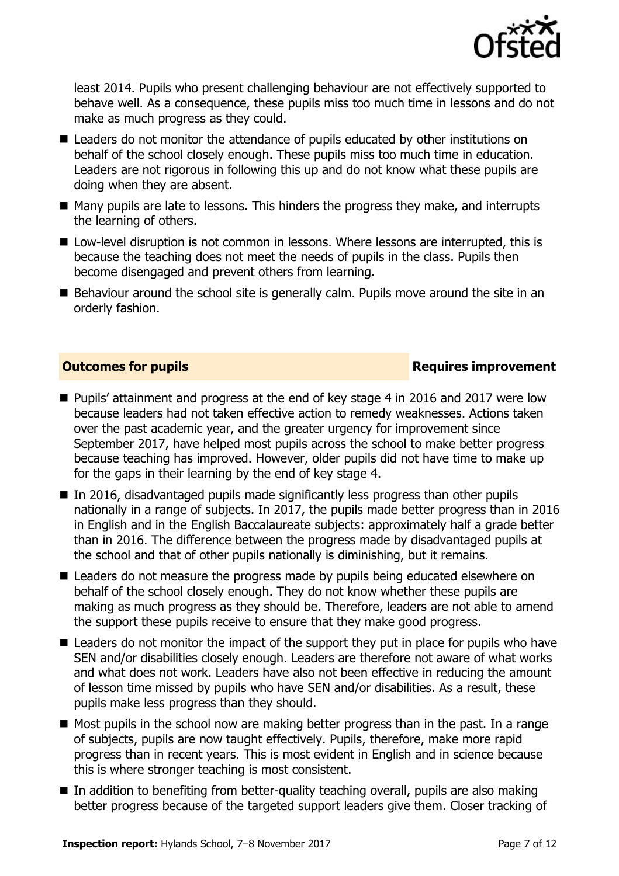

least 2014. Pupils who present challenging behaviour are not effectively supported to behave well. As a consequence, these pupils miss too much time in lessons and do not make as much progress as they could.

- Leaders do not monitor the attendance of pupils educated by other institutions on behalf of the school closely enough. These pupils miss too much time in education. Leaders are not rigorous in following this up and do not know what these pupils are doing when they are absent.
- $\blacksquare$  Many pupils are late to lessons. This hinders the progress they make, and interrupts the learning of others.
- Low-level disruption is not common in lessons. Where lessons are interrupted, this is because the teaching does not meet the needs of pupils in the class. Pupils then become disengaged and prevent others from learning.
- Behaviour around the school site is generally calm. Pupils move around the site in an orderly fashion.

### **Outcomes for pupils Requires improvement**

- Pupils' attainment and progress at the end of key stage 4 in 2016 and 2017 were low because leaders had not taken effective action to remedy weaknesses. Actions taken over the past academic year, and the greater urgency for improvement since September 2017, have helped most pupils across the school to make better progress because teaching has improved. However, older pupils did not have time to make up for the gaps in their learning by the end of key stage 4.
- $\blacksquare$  In 2016, disadvantaged pupils made significantly less progress than other pupils nationally in a range of subjects. In 2017, the pupils made better progress than in 2016 in English and in the English Baccalaureate subjects: approximately half a grade better than in 2016. The difference between the progress made by disadvantaged pupils at the school and that of other pupils nationally is diminishing, but it remains.
- Leaders do not measure the progress made by pupils being educated elsewhere on behalf of the school closely enough. They do not know whether these pupils are making as much progress as they should be. Therefore, leaders are not able to amend the support these pupils receive to ensure that they make good progress.
- Leaders do not monitor the impact of the support they put in place for pupils who have SEN and/or disabilities closely enough. Leaders are therefore not aware of what works and what does not work. Leaders have also not been effective in reducing the amount of lesson time missed by pupils who have SEN and/or disabilities. As a result, these pupils make less progress than they should.
- $\blacksquare$  Most pupils in the school now are making better progress than in the past. In a range of subjects, pupils are now taught effectively. Pupils, therefore, make more rapid progress than in recent years. This is most evident in English and in science because this is where stronger teaching is most consistent.
- In addition to benefiting from better-quality teaching overall, pupils are also making better progress because of the targeted support leaders give them. Closer tracking of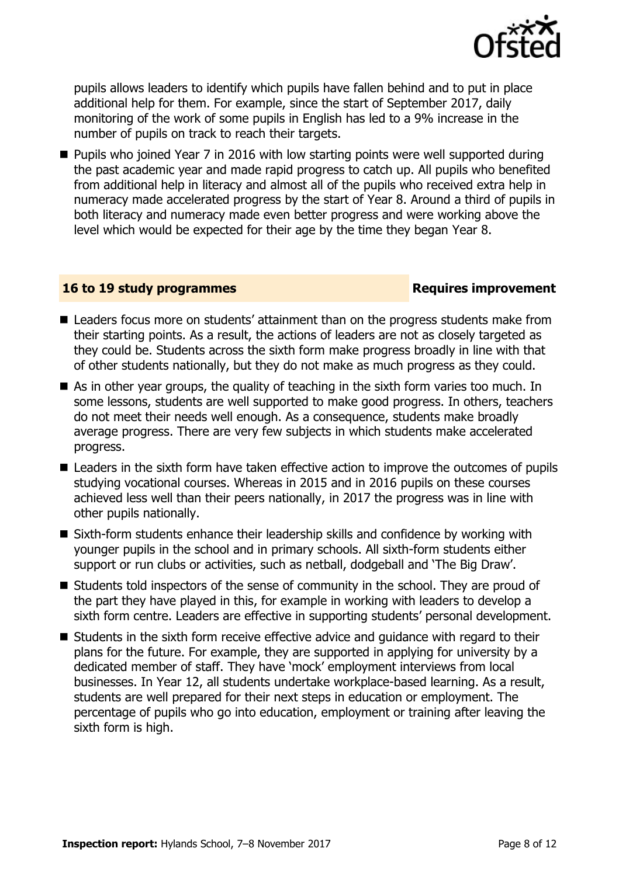

pupils allows leaders to identify which pupils have fallen behind and to put in place additional help for them. For example, since the start of September 2017, daily monitoring of the work of some pupils in English has led to a 9% increase in the number of pupils on track to reach their targets.

 Pupils who joined Year 7 in 2016 with low starting points were well supported during the past academic year and made rapid progress to catch up. All pupils who benefited from additional help in literacy and almost all of the pupils who received extra help in numeracy made accelerated progress by the start of Year 8. Around a third of pupils in both literacy and numeracy made even better progress and were working above the level which would be expected for their age by the time they began Year 8.

#### **16 to 19 study programmes Requires improvement**

- Leaders focus more on students' attainment than on the progress students make from their starting points. As a result, the actions of leaders are not as closely targeted as they could be. Students across the sixth form make progress broadly in line with that of other students nationally, but they do not make as much progress as they could.
- As in other year groups, the quality of teaching in the sixth form varies too much. In some lessons, students are well supported to make good progress. In others, teachers do not meet their needs well enough. As a consequence, students make broadly average progress. There are very few subjects in which students make accelerated progress.
- Leaders in the sixth form have taken effective action to improve the outcomes of pupils studying vocational courses. Whereas in 2015 and in 2016 pupils on these courses achieved less well than their peers nationally, in 2017 the progress was in line with other pupils nationally.
- Sixth-form students enhance their leadership skills and confidence by working with younger pupils in the school and in primary schools. All sixth-form students either support or run clubs or activities, such as netball, dodgeball and 'The Big Draw'.
- Students told inspectors of the sense of community in the school. They are proud of the part they have played in this, for example in working with leaders to develop a sixth form centre. Leaders are effective in supporting students' personal development.
- Students in the sixth form receive effective advice and quidance with regard to their plans for the future. For example, they are supported in applying for university by a dedicated member of staff. They have 'mock' employment interviews from local businesses. In Year 12, all students undertake workplace-based learning. As a result, students are well prepared for their next steps in education or employment. The percentage of pupils who go into education, employment or training after leaving the sixth form is high.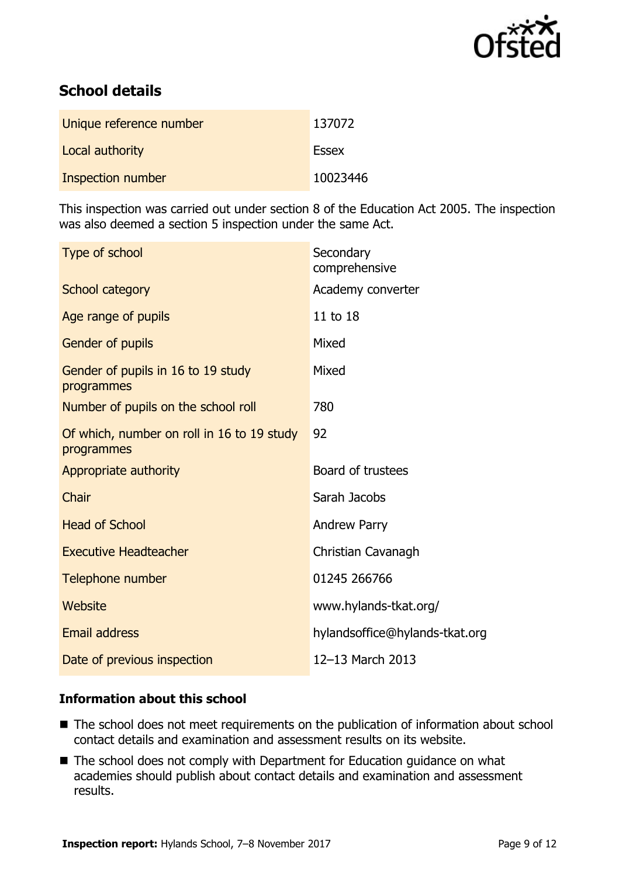

# **School details**

| Unique reference number | 137072       |
|-------------------------|--------------|
| Local authority         | <b>Essex</b> |
| Inspection number       | 10023446     |

This inspection was carried out under section 8 of the Education Act 2005. The inspection was also deemed a section 5 inspection under the same Act.

| Secondary<br>comprehensive     |
|--------------------------------|
| Academy converter              |
| 11 to 18                       |
| Mixed                          |
| Mixed                          |
| 780                            |
| 92                             |
| Board of trustees              |
| Sarah Jacobs                   |
| <b>Andrew Parry</b>            |
| Christian Cavanagh             |
| 01245 266766                   |
| www.hylands-tkat.org/          |
| hylandsoffice@hylands-tkat.org |
| 12-13 March 2013               |
|                                |

#### **Information about this school**

- The school does not meet requirements on the publication of information about school contact details and examination and assessment results on its website.
- The school does not comply with Department for Education guidance on what academies should publish about contact details and examination and assessment results.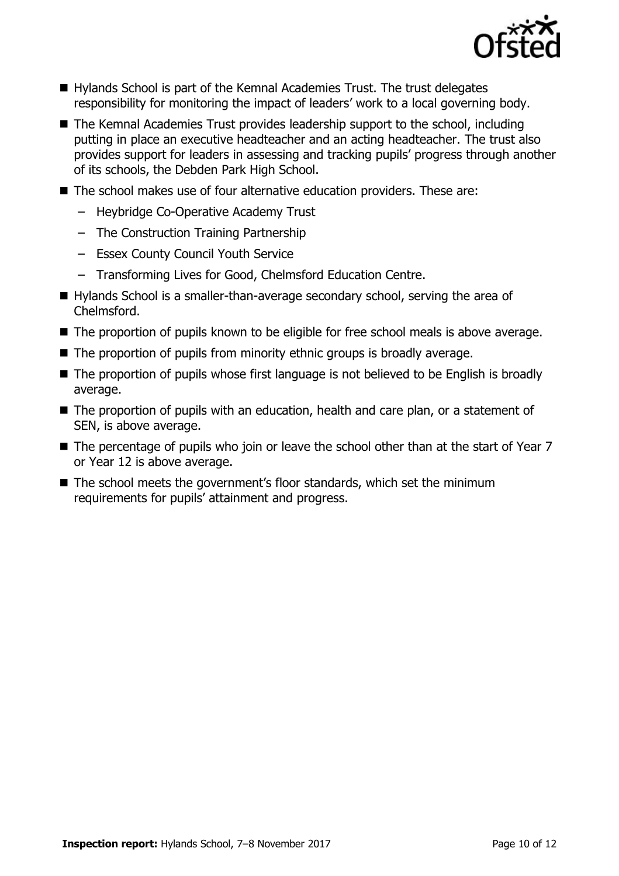

- Hylands School is part of the Kemnal Academies Trust. The trust delegates responsibility for monitoring the impact of leaders' work to a local governing body.
- The Kemnal Academies Trust provides leadership support to the school, including putting in place an executive headteacher and an acting headteacher. The trust also provides support for leaders in assessing and tracking pupils' progress through another of its schools, the Debden Park High School.
- The school makes use of four alternative education providers. These are:
	- Heybridge Co-Operative Academy Trust
	- The Construction Training Partnership
	- Essex County Council Youth Service
	- Transforming Lives for Good, Chelmsford Education Centre.
- Hylands School is a smaller-than-average secondary school, serving the area of Chelmsford.
- The proportion of pupils known to be eligible for free school meals is above average.
- The proportion of pupils from minority ethnic groups is broadly average.
- The proportion of pupils whose first language is not believed to be English is broadly average.
- The proportion of pupils with an education, health and care plan, or a statement of SEN, is above average.
- The percentage of pupils who join or leave the school other than at the start of Year 7 or Year 12 is above average.
- The school meets the government's floor standards, which set the minimum requirements for pupils' attainment and progress.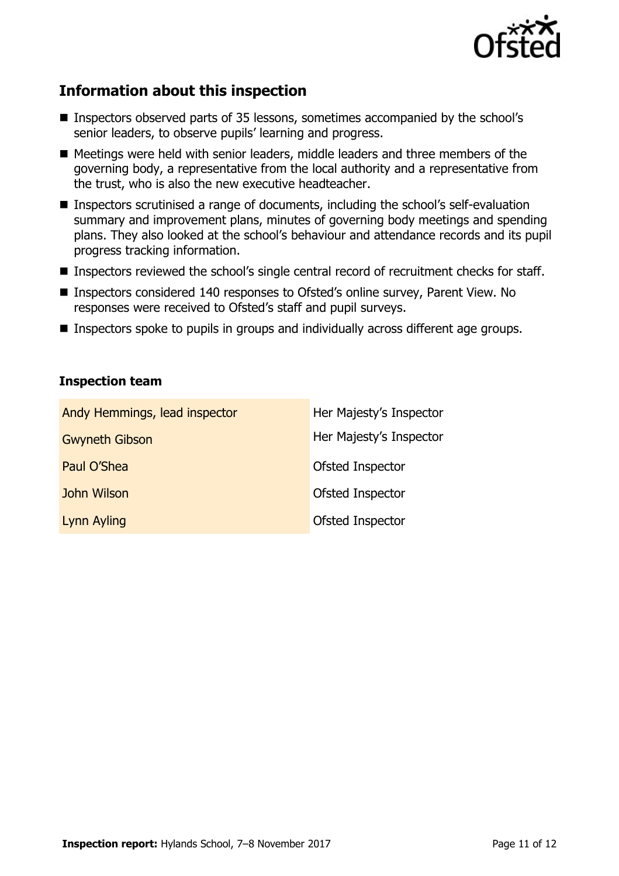

# **Information about this inspection**

- Inspectors observed parts of 35 lessons, sometimes accompanied by the school's senior leaders, to observe pupils' learning and progress.
- $\blacksquare$  Meetings were held with senior leaders, middle leaders and three members of the governing body, a representative from the local authority and a representative from the trust, who is also the new executive headteacher.
- Inspectors scrutinised a range of documents, including the school's self-evaluation summary and improvement plans, minutes of governing body meetings and spending plans. They also looked at the school's behaviour and attendance records and its pupil progress tracking information.
- Inspectors reviewed the school's single central record of recruitment checks for staff.
- Inspectors considered 140 responses to Ofsted's online survey, Parent View. No responses were received to Ofsted's staff and pupil surveys.
- Inspectors spoke to pupils in groups and individually across different age groups.

### **Inspection team**

| Andy Hemmings, lead inspector | Her Majesty's Inspector |
|-------------------------------|-------------------------|
| <b>Gwyneth Gibson</b>         | Her Majesty's Inspector |
| Paul O'Shea                   | Ofsted Inspector        |
| John Wilson                   | Ofsted Inspector        |
| Lynn Ayling                   | Ofsted Inspector        |